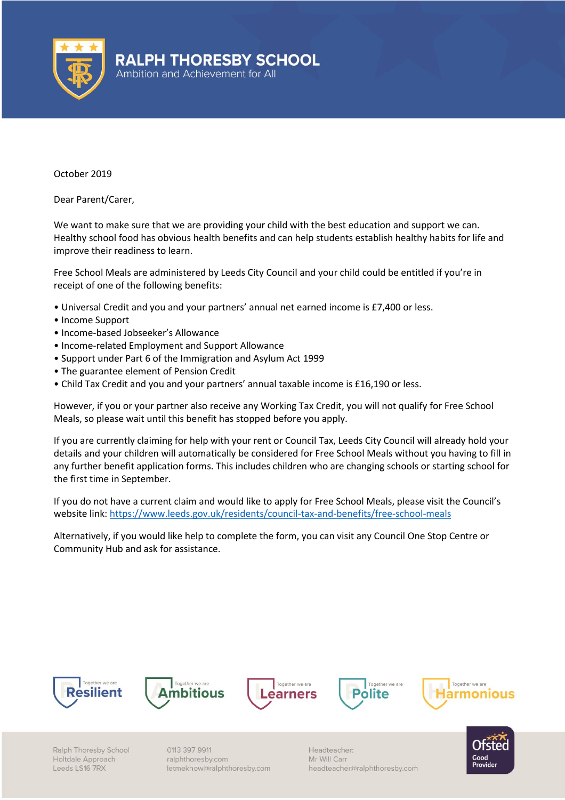

October 2019

Dear Parent/Carer,

We want to make sure that we are providing your child with the best education and support we can. Healthy school food has obvious health benefits and can help students establish healthy habits for life and improve their readiness to learn.

Free School Meals are administered by Leeds City Council and your child could be entitled if you're in receipt of one of the following benefits:

- Universal Credit and you and your partners' annual net earned income is £7,400 or less.
- Income Support
- Income-based Jobseeker's Allowance
- Income-related Employment and Support Allowance
- Support under Part 6 of the Immigration and Asylum Act 1999
- The guarantee element of Pension Credit
- Child Tax Credit and you and your partners' annual taxable income is £16,190 or less.

However, if you or your partner also receive any Working Tax Credit, you will not qualify for Free School Meals, so please wait until this benefit has stopped before you apply.

If you are currently claiming for help with your rent or Council Tax, Leeds City Council will already hold your details and your children will automatically be considered for Free School Meals without you having to fill in any further benefit application forms. This includes children who are changing schools or starting school for the first time in September.

If you do not have a current claim and would like to apply for Free School Meals, please visit the Council's website link[: https://www.leeds.gov.uk/residents/council-tax-and-benefits/free-school-meals](https://www.leeds.gov.uk/residents/council-tax-and-benefits/free-school-meals)

Alternatively, if you would like help to complete the form, you can visit any Council One Stop Centre or Community Hub and ask for assistance.











Ralph Thoresby School Holtdale Approach Leeds LS16 7RX

0113 397 9911 ralphthoresby.com letmeknow@ralphthoresby.com Headteacher: Mr Will Carr headteacher@ralphthoresby.com